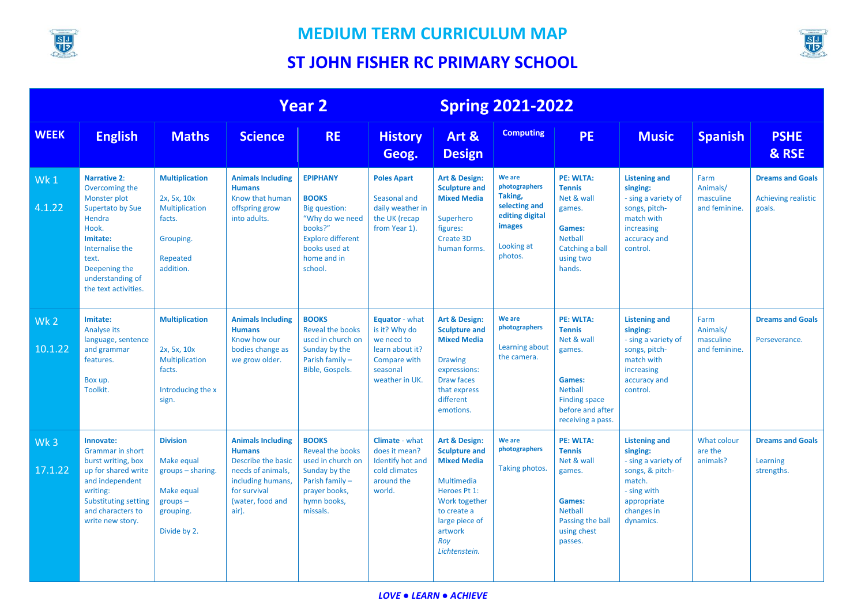

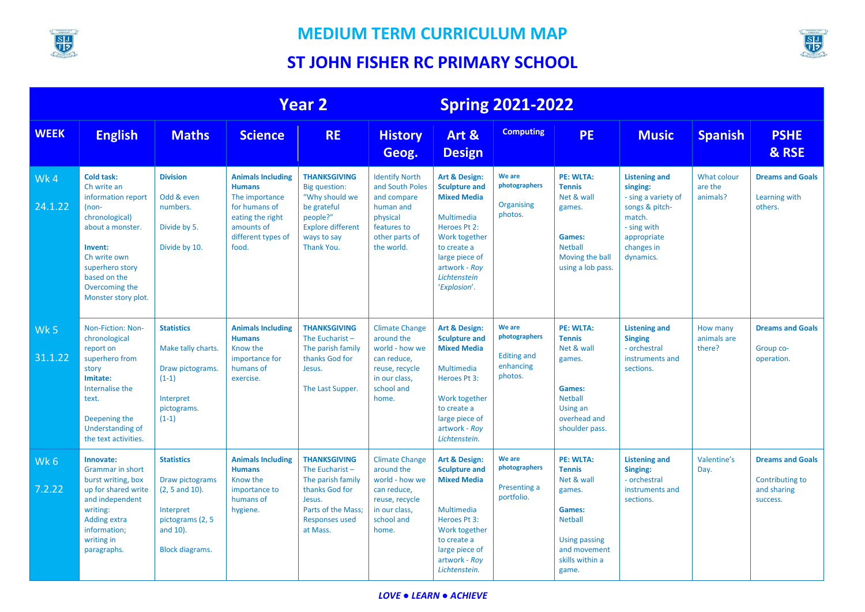

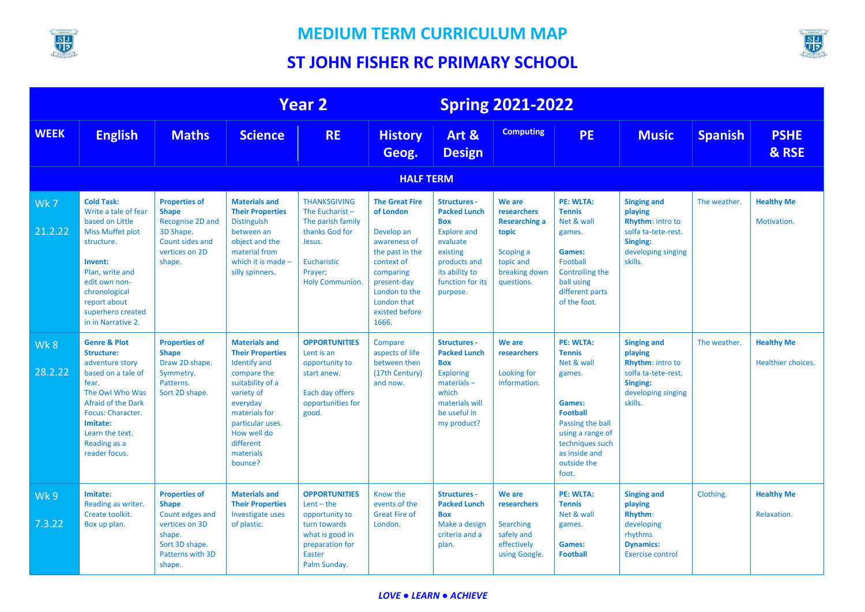



|                  |                                                                                                                                                                                                                                     |                                                                                                                                     |                                                                                                                                                                                                                              | <b>Year 2</b>                                                                                                                                 |                                                                                                                                                                                          |                                                                                                                                                                          | <b>Spring 2021-2022</b>                                                                                         |                                                                                                                                                                                            |                                                                                                                       |                |                                         |
|------------------|-------------------------------------------------------------------------------------------------------------------------------------------------------------------------------------------------------------------------------------|-------------------------------------------------------------------------------------------------------------------------------------|------------------------------------------------------------------------------------------------------------------------------------------------------------------------------------------------------------------------------|-----------------------------------------------------------------------------------------------------------------------------------------------|------------------------------------------------------------------------------------------------------------------------------------------------------------------------------------------|--------------------------------------------------------------------------------------------------------------------------------------------------------------------------|-----------------------------------------------------------------------------------------------------------------|--------------------------------------------------------------------------------------------------------------------------------------------------------------------------------------------|-----------------------------------------------------------------------------------------------------------------------|----------------|-----------------------------------------|
| <b>WEEK</b>      | <b>English</b>                                                                                                                                                                                                                      | <b>Maths</b>                                                                                                                        | <b>Science</b>                                                                                                                                                                                                               | <b>RE</b>                                                                                                                                     | <b>History</b><br>Geog.                                                                                                                                                                  | Art &<br><b>Design</b>                                                                                                                                                   | <b>Computing</b>                                                                                                | <b>PE</b>                                                                                                                                                                                  | <b>Music</b>                                                                                                          | <b>Spanish</b> | <b>PSHE</b><br>& RSE                    |
| <b>HALF TERM</b> |                                                                                                                                                                                                                                     |                                                                                                                                     |                                                                                                                                                                                                                              |                                                                                                                                               |                                                                                                                                                                                          |                                                                                                                                                                          |                                                                                                                 |                                                                                                                                                                                            |                                                                                                                       |                |                                         |
| Wk7<br>21.2.22   | <b>Cold Task:</b><br>Write a tale of fear<br>based on Little<br><b>Miss Muffet plot</b><br>structure.<br>Invent:<br>Plan, write and<br>edit own non-<br>chronological<br>report about<br>superhero created<br>in in Narrative 2.    | <b>Properties of</b><br><b>Shape</b><br>Recognise 2D and<br>3D Shape.<br>Count sides and<br>vertices on 2D<br>shape.                | <b>Materials and</b><br><b>Their Properties</b><br><b>Distinguish</b><br>between an<br>object and the<br>material from<br>which it is made $-$<br>silly spinners.                                                            | <b>THANKSGIVING</b><br>The Eucharist-<br>The parish family<br>thanks God for<br>Jesus.<br>Eucharistic<br>Prayer;<br><b>Holy Communion</b> .   | <b>The Great Fire</b><br>of London<br>Develop an<br>awareness of<br>the past in the<br>context of<br>comparing<br>present-day<br>London to the<br>London that<br>existed before<br>1666. | <b>Structures -</b><br><b>Packed Lunch</b><br><b>Box</b><br><b>Explore and</b><br>evaluate<br>existing<br>products and<br>its ability to<br>function for its<br>purpose. | We are<br>researchers<br><b>Researching a</b><br>topic<br>Scoping a<br>topic and<br>breaking down<br>questions. | <b>PE: WLTA:</b><br><b>Tennis</b><br>Net & wall<br>games.<br>Games:<br>Football<br>Controlling the<br>ball using<br>different parts<br>of the foot.                                        | <b>Singing and</b><br>playing<br>Rhythm: intro to<br>solfa ta-tete-rest.<br>Singing:<br>developing singing<br>skills. | The weather.   | <b>Healthy Me</b><br>Motivation.        |
| Wk8<br>28.2.22   | <b>Genre &amp; Plot</b><br><b>Structure:</b><br>adventure story<br>based on a tale of<br>fear.<br>The Owl Who Was<br><b>Afraid of the Dark</b><br>Focus: Character.<br>Imitate:<br>Learn the text.<br>Reading as a<br>reader focus. | <b>Properties of</b><br><b>Shape</b><br>Draw 2D shape.<br>Symmetry.<br>Patterns.<br>Sort 2D shape.                                  | <b>Materials and</b><br><b>Their Properties</b><br><b>Identify and</b><br>compare the<br>suitability of a<br>variety of<br>everyday<br>materials for<br>particular uses.<br>How well do<br>different<br>materials<br>bounce? | <b>OPPORTUNITIES</b><br>Lent is an<br>opportunity to<br>start anew.<br>Each day offers<br>opportunities for<br>good.                          | Compare<br>aspects of life<br>between then<br>(17th Century)<br>and now.                                                                                                                 | <b>Structures -</b><br><b>Packed Lunch</b><br><b>Box</b><br><b>Exploring</b><br>$materials -$<br>which<br>materials will<br>be useful in<br>my product?                  | We are<br>researchers<br>Looking for<br>information.                                                            | <b>PE: WLTA:</b><br><b>Tennis</b><br>Net & wall<br>games.<br>Games:<br><b>Football</b><br>Passing the ball<br>using a range of<br>techniques such<br>as inside and<br>outside the<br>foot. | <b>Singing and</b><br>playing<br>Rhythm: intro to<br>solfa ta-tete-rest.<br>Singing:<br>developing singing<br>skills. | The weather.   | <b>Healthy Me</b><br>Healthier choices. |
| Wk 9<br>7.3.22   | Imitate:<br>Reading as writer.<br>Create toolkit.<br>Box up plan.                                                                                                                                                                   | <b>Properties of</b><br><b>Shape</b><br>Count edges and<br>vertices on 3D<br>shape.<br>Sort 3D shape.<br>Patterns with 3D<br>shape. | <b>Materials and</b><br><b>Their Properties</b><br>Investigate uses<br>of plastic.                                                                                                                                           | <b>OPPORTUNITIES</b><br>$Lent - the$<br>opportunity to<br>turn towards<br>what is good in<br>preparation for<br><b>Easter</b><br>Palm Sunday. | Know the<br>events of the<br><b>Great Fire of</b><br>London.                                                                                                                             | <b>Structures -</b><br><b>Packed Lunch</b><br><b>Box</b><br>Make a design<br>criteria and a<br>plan.                                                                     | We are<br>researchers<br>Searching<br>safely and<br>effectively<br>using Google.                                | <b>PE: WLTA:</b><br><b>Tennis</b><br>Net & wall<br>games.<br><b>Games:</b><br><b>Football</b>                                                                                              | <b>Singing and</b><br>playing<br>Rhythm:<br>developing<br>rhythms<br><b>Dynamics:</b><br><b>Exercise control</b>      | Clothing.      | <b>Healthy Me</b><br>Relaxation.        |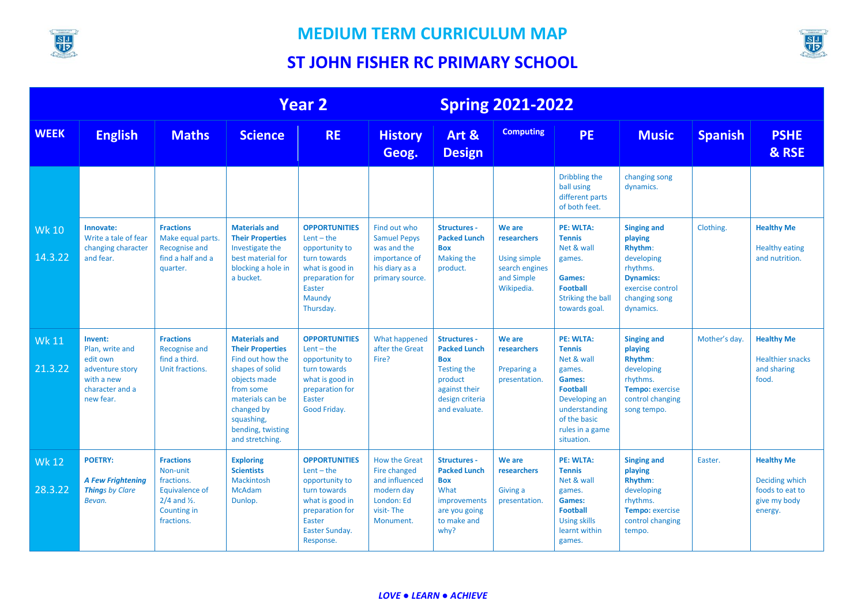

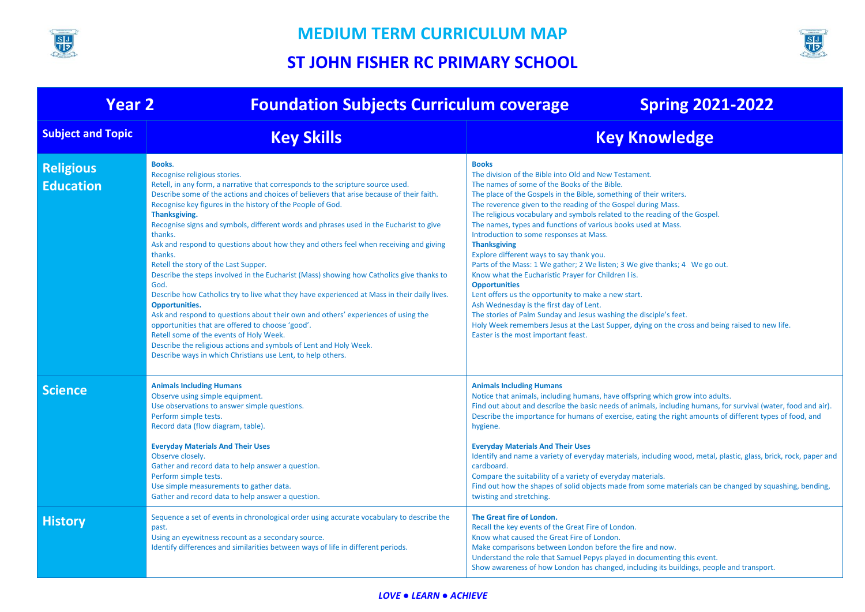



| <b>Year 2</b><br><b>Foundation Subjects Curriculum coverage</b><br><b>Spring 2021-2022</b> |                                                                                                                                                                                                                                                                                                                                                                                                                                                                                                                                                                                                                                                                                                                                                                                                                                                                                                                                                                                                                                                                                                                  |                                                                                                                                                                                                                                                                                                                                                                                                                                                                                                                                                                                                                                                                                                                                                                                                                                                                                                                                                                                                         |  |  |  |  |
|--------------------------------------------------------------------------------------------|------------------------------------------------------------------------------------------------------------------------------------------------------------------------------------------------------------------------------------------------------------------------------------------------------------------------------------------------------------------------------------------------------------------------------------------------------------------------------------------------------------------------------------------------------------------------------------------------------------------------------------------------------------------------------------------------------------------------------------------------------------------------------------------------------------------------------------------------------------------------------------------------------------------------------------------------------------------------------------------------------------------------------------------------------------------------------------------------------------------|---------------------------------------------------------------------------------------------------------------------------------------------------------------------------------------------------------------------------------------------------------------------------------------------------------------------------------------------------------------------------------------------------------------------------------------------------------------------------------------------------------------------------------------------------------------------------------------------------------------------------------------------------------------------------------------------------------------------------------------------------------------------------------------------------------------------------------------------------------------------------------------------------------------------------------------------------------------------------------------------------------|--|--|--|--|
| <b>Subject and Topic</b>                                                                   | <b>Key Skills</b>                                                                                                                                                                                                                                                                                                                                                                                                                                                                                                                                                                                                                                                                                                                                                                                                                                                                                                                                                                                                                                                                                                | <b>Key Knowledge</b>                                                                                                                                                                                                                                                                                                                                                                                                                                                                                                                                                                                                                                                                                                                                                                                                                                                                                                                                                                                    |  |  |  |  |
| <b>Religious</b><br><b>Education</b>                                                       | <b>Books.</b><br>Recognise religious stories.<br>Retell, in any form, a narrative that corresponds to the scripture source used.<br>Describe some of the actions and choices of believers that arise because of their faith.<br>Recognise key figures in the history of the People of God.<br>Thanksgiving.<br>Recognise signs and symbols, different words and phrases used in the Eucharist to give<br>thanks.<br>Ask and respond to questions about how they and others feel when receiving and giving<br>thanks.<br>Retell the story of the Last Supper.<br>Describe the steps involved in the Eucharist (Mass) showing how Catholics give thanks to<br>God.<br>Describe how Catholics try to live what they have experienced at Mass in their daily lives.<br><b>Opportunities.</b><br>Ask and respond to questions about their own and others' experiences of using the<br>opportunities that are offered to choose 'good'.<br>Retell some of the events of Holy Week.<br>Describe the religious actions and symbols of Lent and Holy Week.<br>Describe ways in which Christians use Lent, to help others. | <b>Books</b><br>The division of the Bible into Old and New Testament.<br>The names of some of the Books of the Bible.<br>The place of the Gospels in the Bible, something of their writers.<br>The reverence given to the reading of the Gospel during Mass.<br>The religious vocabulary and symbols related to the reading of the Gospel.<br>The names, types and functions of various books used at Mass.<br>Introduction to some responses at Mass.<br><b>Thanksgiving</b><br>Explore different ways to say thank you.<br>Parts of the Mass: 1 We gather; 2 We listen; 3 We give thanks; 4 We go out.<br>Know what the Eucharistic Prayer for Children I is.<br><b>Opportunities</b><br>Lent offers us the opportunity to make a new start.<br>Ash Wednesday is the first day of Lent.<br>The stories of Palm Sunday and Jesus washing the disciple's feet.<br>Holy Week remembers Jesus at the Last Supper, dying on the cross and being raised to new life.<br>Easter is the most important feast. |  |  |  |  |
| <b>Science</b>                                                                             | <b>Animals Including Humans</b><br>Observe using simple equipment.<br>Use observations to answer simple questions.<br>Perform simple tests.<br>Record data (flow diagram, table).<br><b>Everyday Materials And Their Uses</b><br>Observe closely.<br>Gather and record data to help answer a question.<br>Perform simple tests.<br>Use simple measurements to gather data.<br>Gather and record data to help answer a question.                                                                                                                                                                                                                                                                                                                                                                                                                                                                                                                                                                                                                                                                                  | <b>Animals Including Humans</b><br>Notice that animals, including humans, have offspring which grow into adults.<br>Find out about and describe the basic needs of animals, including humans, for survival (water, food and air).<br>Describe the importance for humans of exercise, eating the right amounts of different types of food, and<br>hygiene.<br><b>Everyday Materials And Their Uses</b><br>Identify and name a variety of everyday materials, including wood, metal, plastic, glass, brick, rock, paper and<br>cardboard.<br>Compare the suitability of a variety of everyday materials.<br>Find out how the shapes of solid objects made from some materials can be changed by squashing, bending,<br>twisting and stretching.                                                                                                                                                                                                                                                           |  |  |  |  |
| <b>History</b>                                                                             | Sequence a set of events in chronological order using accurate vocabulary to describe the<br>past.<br>Using an eyewitness recount as a secondary source.<br>Identify differences and similarities between ways of life in different periods.                                                                                                                                                                                                                                                                                                                                                                                                                                                                                                                                                                                                                                                                                                                                                                                                                                                                     | The Great fire of London.<br>Recall the key events of the Great Fire of London.<br>Know what caused the Great Fire of London.<br>Make comparisons between London before the fire and now.<br>Understand the role that Samuel Pepys played in documenting this event.<br>Show awareness of how London has changed, including its buildings, people and transport.                                                                                                                                                                                                                                                                                                                                                                                                                                                                                                                                                                                                                                        |  |  |  |  |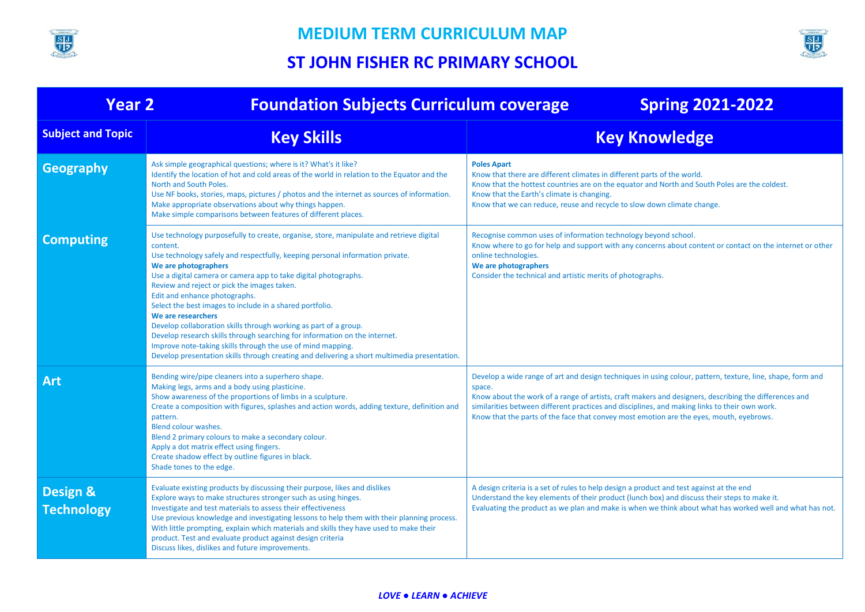



| <b>Year 2</b>                            | <b>Foundation Subjects Curriculum coverage</b>                                                                                                                                                                                                                                                                                                                                                                                                                                                                                                                                                                                                                                                                                                                     | <b>Spring 2021-2022</b>                                                                                                                                                                                                                                                                                                                                                                                                   |
|------------------------------------------|--------------------------------------------------------------------------------------------------------------------------------------------------------------------------------------------------------------------------------------------------------------------------------------------------------------------------------------------------------------------------------------------------------------------------------------------------------------------------------------------------------------------------------------------------------------------------------------------------------------------------------------------------------------------------------------------------------------------------------------------------------------------|---------------------------------------------------------------------------------------------------------------------------------------------------------------------------------------------------------------------------------------------------------------------------------------------------------------------------------------------------------------------------------------------------------------------------|
| <b>Subject and Topic</b>                 | <b>Key Skills</b>                                                                                                                                                                                                                                                                                                                                                                                                                                                                                                                                                                                                                                                                                                                                                  | <b>Key Knowledge</b>                                                                                                                                                                                                                                                                                                                                                                                                      |
| Geography                                | Ask simple geographical questions; where is it? What's it like?<br>Identify the location of hot and cold areas of the world in relation to the Equator and the<br>North and South Poles.<br>Use NF books, stories, maps, pictures / photos and the internet as sources of information.<br>Make appropriate observations about why things happen.<br>Make simple comparisons between features of different places.                                                                                                                                                                                                                                                                                                                                                  | <b>Poles Apart</b><br>Know that there are different climates in different parts of the world.<br>Know that the hottest countries are on the equator and North and South Poles are the coldest.<br>Know that the Earth's climate is changing.<br>Know that we can reduce, reuse and recycle to slow down climate change.                                                                                                   |
| <b>Computing</b>                         | Use technology purposefully to create, organise, store, manipulate and retrieve digital<br>content.<br>Use technology safely and respectfully, keeping personal information private.<br>We are photographers<br>Use a digital camera or camera app to take digital photographs.<br>Review and reject or pick the images taken.<br>Edit and enhance photographs.<br>Select the best images to include in a shared portfolio.<br>We are researchers<br>Develop collaboration skills through working as part of a group.<br>Develop research skills through searching for information on the internet.<br>Improve note-taking skills through the use of mind mapping.<br>Develop presentation skills through creating and delivering a short multimedia presentation. | Recognise common uses of information technology beyond school.<br>Know where to go for help and support with any concerns about content or contact on the internet or other<br>online technologies.<br>We are photographers<br>Consider the technical and artistic merits of photographs.                                                                                                                                 |
| <b>Art</b>                               | Bending wire/pipe cleaners into a superhero shape.<br>Making legs, arms and a body using plasticine.<br>Show awareness of the proportions of limbs in a sculpture.<br>Create a composition with figures, splashes and action words, adding texture, definition and<br>pattern.<br>Blend colour washes.<br>Blend 2 primary colours to make a secondary colour.<br>Apply a dot matrix effect using fingers.<br>Create shadow effect by outline figures in black.<br>Shade tones to the edge.                                                                                                                                                                                                                                                                         | Develop a wide range of art and design techniques in using colour, pattern, texture, line, shape, form and<br>space.<br>Know about the work of a range of artists, craft makers and designers, describing the differences and<br>similarities between different practices and disciplines, and making links to their own work.<br>Know that the parts of the face that convey most emotion are the eyes, mouth, eyebrows. |
| <b>Design &amp;</b><br><b>Technology</b> | Evaluate existing products by discussing their purpose, likes and dislikes<br>Explore ways to make structures stronger such as using hinges.<br>Investigate and test materials to assess their effectiveness<br>Use previous knowledge and investigating lessons to help them with their planning process.<br>With little prompting, explain which materials and skills they have used to make their<br>product. Test and evaluate product against design criteria<br>Discuss likes, dislikes and future improvements.                                                                                                                                                                                                                                             | A design criteria is a set of rules to help design a product and test against at the end<br>Understand the key elements of their product (lunch box) and discuss their steps to make it.<br>Evaluating the product as we plan and make is when we think about what has worked well and what has not.                                                                                                                      |